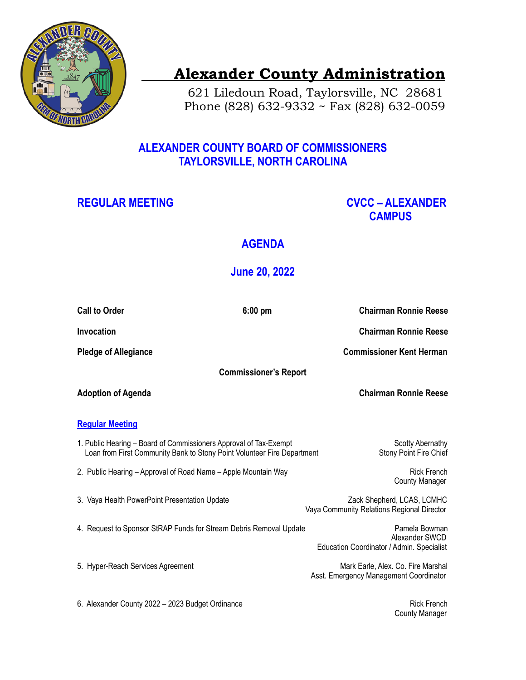

# **Alexander County Administration**

 621 Liledoun Road, Taylorsville, NC 28681 Phone (828) 632-9332 ~ Fax (828) 632-0059

### **ALEXANDER COUNTY BOARD OF COMMISSIONERS TAYLORSVILLE, NORTH CAROLINA**

## **REGULAR MEETING CVCC – ALEXANDER CAMPUS**

## **AGENDA**

## **June 20, 2022**

| <b>Call to Order</b>                                                                                                                         | $6:00$ pm | <b>Chairman Ronnie Reese</b>                                                 |
|----------------------------------------------------------------------------------------------------------------------------------------------|-----------|------------------------------------------------------------------------------|
| <b>Invocation</b>                                                                                                                            |           | <b>Chairman Ronnie Reese</b>                                                 |
| <b>Pledge of Allegiance</b>                                                                                                                  |           | <b>Commissioner Kent Herman</b>                                              |
| <b>Commissioner's Report</b>                                                                                                                 |           |                                                                              |
| <b>Adoption of Agenda</b>                                                                                                                    |           | <b>Chairman Ronnie Reese</b>                                                 |
| <b>Regular Meeting</b>                                                                                                                       |           |                                                                              |
| 1. Public Hearing – Board of Commissioners Approval of Tax-Exempt<br>Loan from First Community Bank to Stony Point Volunteer Fire Department |           | <b>Scotty Abernathy</b><br>Stony Point Fire Chief                            |
| 2. Public Hearing - Approval of Road Name - Apple Mountain Way                                                                               |           | <b>Rick French</b><br><b>County Manager</b>                                  |
| 3. Vaya Health PowerPoint Presentation Update                                                                                                |           | Zack Shepherd, LCAS, LCMHC<br>Vaya Community Relations Regional Director     |
| 4. Request to Sponsor StRAP Funds for Stream Debris Removal Update                                                                           |           | Pamela Bowman<br>Alexander SWCD<br>Education Coordinator / Admin. Specialist |
| 5. Hyper-Reach Services Agreement                                                                                                            |           | Mark Earle, Alex. Co. Fire Marshal<br>Asst. Emergency Management Coordinator |
|                                                                                                                                              |           |                                                                              |

6. Alexander County 2022 – 2023 Budget Ordinance **Rick French** Rick French

County Manager